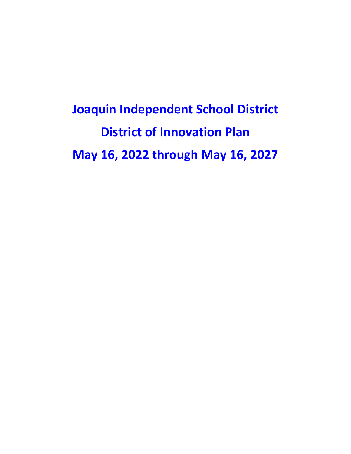**Joaquin Independent School District District of Innovation Plan May 16, 2022 through May 16, 2027**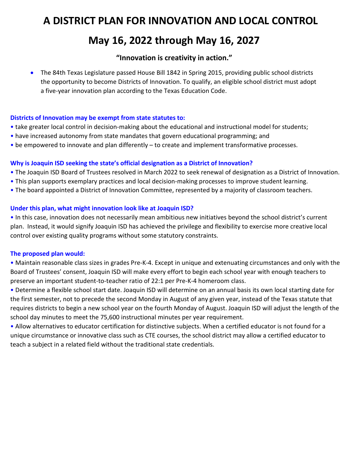# **A DISTRICT PLAN FOR INNOVATION AND LOCAL CONTROL May 16, 2022 through May 16, 2027**

## **"Innovation is creativity in action."**

• The 84th Texas Legislature passed House Bill 1842 in Spring 2015, providing public school districts the opportunity to become Districts of Innovation. To qualify, an eligible school district must adopt a five-year innovation plan according to the Texas Education Code.

## **Districts of Innovation may be exempt from state statutes to:**

- take greater local control in decision-making about the educational and instructional model for students;
- have increased autonomy from state mandates that govern educational programming; and
- be empowered to innovate and plan differently to create and implement transformative processes.

## **Why is Joaquin ISD seeking the state's official designation as a District of Innovation?**

- The Joaquin ISD Board of Trustees resolved in March 2022 to seek renewal of designation as a District of Innovation.
- This plan supports exemplary practices and local decision-making processes to improve student learning.
- The board appointed a District of Innovation Committee, represented by a majority of classroom teachers.

## **Under this plan, what might innovation look like at Joaquin ISD?**

• In this case, innovation does not necessarily mean ambitious new initiatives beyond the school district's current plan. Instead, it would signify Joaquin ISD has achieved the privilege and flexibility to exercise more creative local control over existing quality programs without some statutory constraints.

## **The proposed plan would:**

• Maintain reasonable class sizes in grades Pre-K-4. Except in unique and extenuating circumstances and only with the Board of Trustees' consent, Joaquin ISD will make every effort to begin each school year with enough teachers to preserve an important student-to-teacher ratio of 22:1 per Pre-K-4 homeroom class.

• Determine a flexible school start date. Joaquin ISD will determine on an annual basis its own local starting date for the first semester, not to precede the second Monday in August of any given year, instead of the Texas statute that requires districts to begin a new school year on the fourth Monday of August. Joaquin ISD will adjust the length of the school day minutes to meet the 75,600 instructional minutes per year requirement.

• Allow alternatives to educator certification for distinctive subjects. When a certified educator is not found for a unique circumstance or innovative class such as CTE courses, the school district may allow a certified educator to teach a subject in a related field without the traditional state credentials.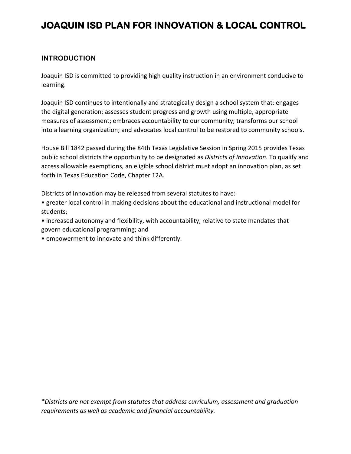## **JOAQUIN ISD PLAN FOR INNOVATION & LOCAL CONTROL**

## **INTRODUCTION**

Joaquin ISD is committed to providing high quality instruction in an environment conducive to learning.

Joaquin ISD continues to intentionally and strategically design a school system that: engages the digital generation; assesses student progress and growth using multiple, appropriate measures of assessment; embraces accountability to our community; transforms our school into a learning organization; and advocates local control to be restored to community schools.

House Bill 1842 passed during the 84th Texas Legislative Session in Spring 2015 provides Texas public school districts the opportunity to be designated as *Districts of Innovation*. To qualify and access allowable exemptions, an eligible school district must adopt an innovation plan, as set forth in Texas Education Code, Chapter 12A.

Districts of Innovation may be released from several statutes to have:

• greater local control in making decisions about the educational and instructional model for students;

• increased autonomy and flexibility, with accountability, relative to state mandates that govern educational programming; and

• empowerment to innovate and think differently.

*\*Districts are not exempt from statutes that address curriculum, assessment and graduation requirements as well as academic and financial accountability.*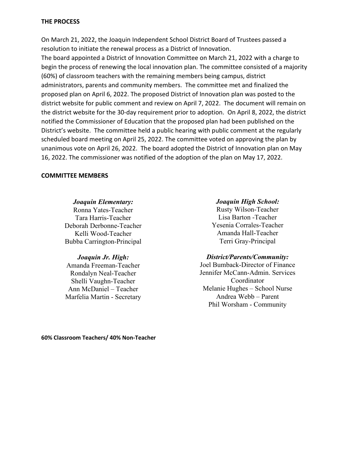#### **THE PROCESS**

On March 21, 2022, the Joaquin Independent School District Board of Trustees passed a resolution to initiate the renewal process as a District of Innovation.

The board appointed a District of Innovation Committee on March 21, 2022 with a charge to begin the process of renewing the local innovation plan. The committee consisted of a majority (60%) of classroom teachers with the remaining members being campus, district administrators, parents and community members. The committee met and finalized the proposed plan on April 6, 2022. The proposed District of Innovation plan was posted to the district website for public comment and review on April 7, 2022. The document will remain on the district website for the 30-day requirement prior to adoption. On April 8, 2022, the district notified the Commissioner of Education that the proposed plan had been published on the District's website. The committee held a public hearing with public comment at the regularly scheduled board meeting on April 25, 2022. The committee voted on approving the plan by unanimous vote on April 26, 2022. The board adopted the District of Innovation plan on May 16, 2022. The commissioner was notified of the adoption of the plan on May 17, 2022.

#### **COMMITTEE MEMBERS**

*Joaquin Elementary:* Ronna Yates-Teacher Tara Harris-Teacher Deborah Derbonne-Teacher Kelli Wood-Teacher Bubba Carrington-Principal

## *Joaquin Jr. High:*

Amanda Freeman-Teacher Rondalyn Neal-Teacher Shelli Vaughn-Teacher Ann McDaniel – Teacher Marfelia Martin - Secretary

*Joaquin High School:* Rusty Wilson-Teacher Lisa Barton -Teacher Yesenia Corrales-Teacher Amanda Hall-Teacher Terri Gray-Principal

#### *District/Parents/Community:*

Joel Bumback-Director of Finance Jennifer McCann-Admin. Services Coordinator Melanie Hughes – School Nurse Andrea Webb – Parent Phil Worsham - Community

**60% Classroom Teachers/ 40% Non-Teacher**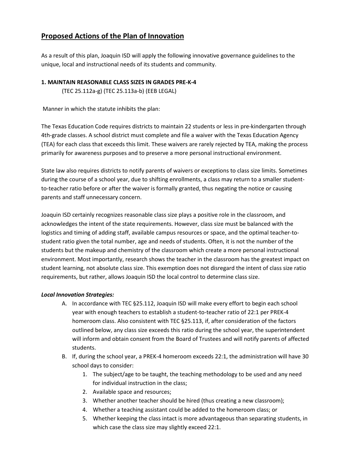## **Proposed Actions of the Plan of Innovation**

As a result of this plan, Joaquin ISD will apply the following innovative governance guidelines to the unique, local and instructional needs of its students and community.

## **1. MAINTAIN REASONABLE CLASS SIZES IN GRADES PRE-K-4**

(TEC 25.112a-g) (TEC 25.113a-b) (EEB LEGAL)

Manner in which the statute inhibits the plan:

The Texas Education Code requires districts to maintain 22 students or less in pre-kindergarten through 4th-grade classes. A school district must complete and file a waiver with the Texas Education Agency (TEA) for each class that exceeds this limit. These waivers are rarely rejected by TEA, making the process primarily for awareness purposes and to preserve a more personal instructional environment.

State law also requires districts to notify parents of waivers or exceptions to class size limits. Sometimes during the course of a school year, due to shifting enrollments, a class may return to a smaller studentto-teacher ratio before or after the waiver is formally granted, thus negating the notice or causing parents and staff unnecessary concern.

Joaquin ISD certainly recognizes reasonable class size plays a positive role in the classroom, and acknowledges the intent of the state requirements. However, class size must be balanced with the logistics and timing of adding staff, available campus resources or space, and the optimal teacher-tostudent ratio given the total number, age and needs of students. Often, it is not the number of the students but the makeup and chemistry of the classroom which create a more personal instructional environment. Most importantly, research shows the teacher in the classroom has the greatest impact on student learning, not absolute class size. This exemption does not disregard the intent of class size ratio requirements, but rather, allows Joaquin ISD the local control to determine class size.

## *Local Innovation Strategies:*

- A. In accordance with TEC §25.112, Joaquin ISD will make every effort to begin each school year with enough teachers to establish a student-to-teacher ratio of 22:1 per PREK-4 homeroom class. Also consistent with TEC §25.113, if, after consideration of the factors outlined below, any class size exceeds this ratio during the school year, the superintendent will inform and obtain consent from the Board of Trustees and will notify parents of affected students.
- B. If, during the school year, a PREK-4 homeroom exceeds 22:1, the administration will have 30 school days to consider:
	- 1. The subject/age to be taught, the teaching methodology to be used and any need for individual instruction in the class;
	- 2. Available space and resources;
	- 3. Whether another teacher should be hired (thus creating a new classroom);
	- 4. Whether a teaching assistant could be added to the homeroom class; or
	- 5. Whether keeping the class intact is more advantageous than separating students, in which case the class size may slightly exceed 22:1.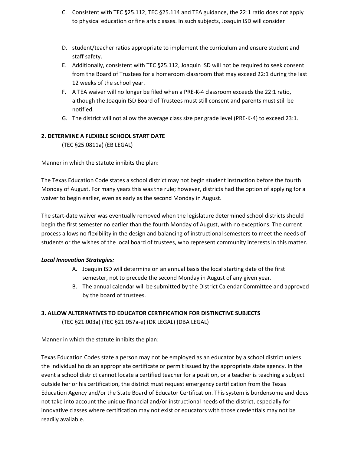- C. Consistent with TEC §25.112, TEC §25.114 and TEA guidance, the 22:1 ratio does not apply to physical education or fine arts classes. In such subjects, Joaquin ISD will consider
- D. student/teacher ratios appropriate to implement the curriculum and ensure student and staff safety.
- E. Additionally, consistent with TEC §25.112, Joaquin ISD will not be required to seek consent from the Board of Trustees for a homeroom classroom that may exceed 22:1 during the last 12 weeks of the school year.
- F. A TEA waiver will no longer be filed when a PRE-K-4 classroom exceeds the 22:1 ratio, although the Joaquin ISD Board of Trustees must still consent and parents must still be notified.
- G. The district will not allow the average class size per grade level (PRE-K-4) to exceed 23:1.

## **2. DETERMINE A FLEXIBLE SCHOOL START DATE**

(TEC §25.0811a) (EB LEGAL)

Manner in which the statute inhibits the plan:

The Texas Education Code states a school district may not begin student instruction before the fourth Monday of August. For many years this was the rule; however, districts had the option of applying for a waiver to begin earlier, even as early as the second Monday in August.

The start-date waiver was eventually removed when the legislature determined school districts should begin the first semester no earlier than the fourth Monday of August, with no exceptions. The current process allows no flexibility in the design and balancing of instructional semesters to meet the needs of students or the wishes of the local board of trustees, who represent community interests in this matter.

## *Local Innovation Strategies:*

- A. Joaquin ISD will determine on an annual basis the local starting date of the first semester, not to precede the second Monday in August of any given year.
- B. The annual calendar will be submitted by the District Calendar Committee and approved by the board of trustees.

## **3. ALLOW ALTERNATIVES TO EDUCATOR CERTIFICATION FOR DISTINCTIVE SUBJECTS**

(TEC §21.003a) (TEC §21.057a-e) (DK LEGAL) (DBA LEGAL)

Manner in which the statute inhibits the plan:

Texas Education Codes state a person may not be employed as an educator by a school district unless the individual holds an appropriate certificate or permit issued by the appropriate state agency. In the event a school district cannot locate a certified teacher for a position, or a teacher is teaching a subject outside her or his certification, the district must request emergency certification from the Texas Education Agency and/or the State Board of Educator Certification. This system is burdensome and does not take into account the unique financial and/or instructional needs of the district, especially for innovative classes where certification may not exist or educators with those credentials may not be readily available.